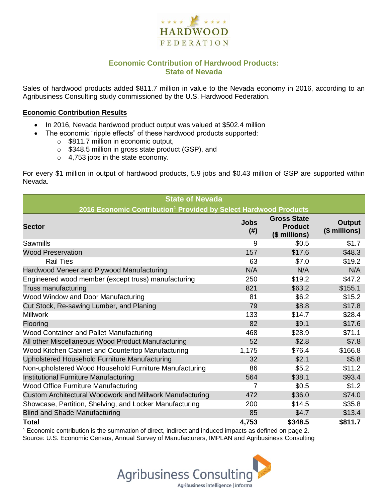

## **Economic Contribution of Hardwood Products: State of Nevada**

Sales of hardwood products added \$811.7 million in value to the Nevada economy in 2016, according to an Agribusiness Consulting study commissioned by the U.S. Hardwood Federation.

#### **Economic Contribution Results**

- In 2016, Nevada hardwood product output was valued at \$502.4 million
	- The economic "ripple effects" of these hardwood products supported:
		- o \$811.7 million in economic output,
		- o \$348.5 million in gross state product (GSP), and
		- o 4,753 jobs in the state economy.

For every \$1 million in output of hardwood products, 5.9 jobs and \$0.43 million of GSP are supported within Nevada.

| <b>State of Nevada</b>                                                       |                     |                                                       |                         |  |  |  |  |
|------------------------------------------------------------------------------|---------------------|-------------------------------------------------------|-------------------------|--|--|--|--|
| 2016 Economic Contribution <sup>1</sup> Provided by Select Hardwood Products |                     |                                                       |                         |  |  |  |  |
| <b>Sector</b>                                                                | <b>Jobs</b><br>(# ) | <b>Gross State</b><br><b>Product</b><br>(\$ millions) | Output<br>(\$ millions) |  |  |  |  |
| Sawmills                                                                     | 9                   | \$0.5                                                 | \$1.7                   |  |  |  |  |
| <b>Wood Preservation</b>                                                     | 157                 | \$17.6                                                | \$48.3                  |  |  |  |  |
| <b>Rail Ties</b>                                                             | 63                  | \$7.0                                                 | \$19.2                  |  |  |  |  |
| Hardwood Veneer and Plywood Manufacturing                                    | N/A                 | N/A                                                   | N/A                     |  |  |  |  |
| Engineered wood member (except truss) manufacturing                          | 250                 | \$19.2                                                | \$47.2                  |  |  |  |  |
| Truss manufacturing                                                          | 821                 | \$63.2                                                | \$155.1                 |  |  |  |  |
| Wood Window and Door Manufacturing                                           | 81                  | \$6.2                                                 | \$15.2                  |  |  |  |  |
| Cut Stock, Re-sawing Lumber, and Planing                                     | 79                  | \$8.8                                                 | \$17.8                  |  |  |  |  |
| <b>Millwork</b>                                                              | 133                 | \$14.7                                                | \$28.4                  |  |  |  |  |
| Flooring                                                                     | 82                  | \$9.1                                                 | \$17.6                  |  |  |  |  |
| Wood Container and Pallet Manufacturing                                      | 468                 | \$28.9                                                | \$71.1                  |  |  |  |  |
| All other Miscellaneous Wood Product Manufacturing                           | 52                  | \$2.8                                                 | \$7.8                   |  |  |  |  |
| Wood Kitchen Cabinet and Countertop Manufacturing                            | 1,175               | \$76.4                                                | \$166.8                 |  |  |  |  |
| Upholstered Household Furniture Manufacturing                                | 32                  | \$2.1                                                 | \$5.8                   |  |  |  |  |
| Non-upholstered Wood Household Furniture Manufacturing                       | 86                  | \$5.2                                                 | \$11.2                  |  |  |  |  |
| Institutional Furniture Manufacturing                                        | 564                 | \$38.1                                                | \$93.4                  |  |  |  |  |
| <b>Wood Office Furniture Manufacturing</b>                                   | 7                   | \$0.5                                                 | \$1.2                   |  |  |  |  |
| Custom Architectural Woodwork and Millwork Manufacturing                     | 472                 | \$36.0                                                | \$74.0                  |  |  |  |  |
| Showcase, Partition, Shelving, and Locker Manufacturing                      | 200                 | \$14.5                                                | \$35.8                  |  |  |  |  |
| <b>Blind and Shade Manufacturing</b>                                         | 85                  | \$4.7                                                 | \$13.4                  |  |  |  |  |
| <b>Total</b>                                                                 | 4,753               | \$348.5                                               | \$811.7                 |  |  |  |  |

 $1$  Economic contribution is the summation of direct, indirect and induced impacts as defined on page 2. Source: U.S. Economic Census, Annual Survey of Manufacturers, IMPLAN and Agribusiness Consulting